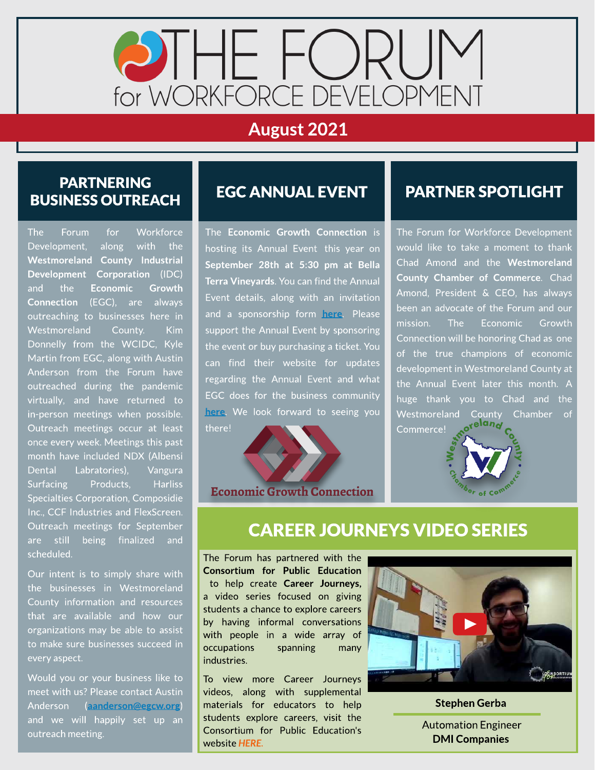

# August 2021

#### PARTNERING **BUSINESS OUTREACH**

The Forum for Workforce Development, along with the Westmoreland County Industrial Development Corporation (IDC) and the Economic Growth Connection (EGC), are always outreaching to businesses here in Westmoreland County. Kim Donnelly from the WCIDC, Kyle Martin from EGC, along with Austin Anderson from the Forum have outreached during the pandemic virtually, and have returned to in-person meetings when possible. Outreach meetings occur at least once every week. Meetings this past month have included NDX (Albensi Dental Labratories), Vangura Surfacing Products, Harliss Specialties Corporation, Composidie Inc., CCF Industries and FlexScreen. Outreach meetings for September are still being finalized and scheduled.

Our intent is to simply share with the businesses in Westmoreland County information and resources that are available and how our organizations may be able to assist to make sure businesses succeed in every aspect.

Would you or your business like to meet with us? Please contact Austin Anderson ([aanderson@egcw.org](mailto:aanderson@egcw.org)) and we will happily set up an outreach meeting.

### EGCANNUALEVENT

The Economic Growth Connection is hosting its Annual Event this year on September 28th at 5:30 pm at Bella Terra Vineyards. You can find the Annual Event details, along with an invitation and a sponsorship form [here](https://egcw.org/news-events/events/). Please support the Annual Event by sponsoring the event or buy purchasing a ticket. You can find their website for updates regarding the Annual Event and what **EGC** does for the business community [here](https://egcw.org/). We look forward to seeing you t[here!](https://egcw.org/)

**Economic Growth Connection** 

#### PARTNER SPOTLIGHT

The Forum for Workforce Development would like to take a moment to thank Chad Amond and the Westmoreland County Chamber of Commerce. Chad Amond, President & CEO, has always been an advocate of the Forum and our mission. The Economic Growth Connection will be honoring Chad as one of the true champions of economic development in Westmoreland County at the Annual Event later this month. A huge thank you to Chad and the Westmoreland [County](https://www.westmorelandchamber.com/) Chamber of Commerce!



### **CAREER JOURNEYS VIDEO SERIES**

The Forum has partnered with the Consortium for Public Education to help create Career Journeys, a video series focused on giving students a chance to explore careers by having informal conversations with people in a wide array of occupations spanning many industries.

To view more Career Journeys videos, along with supplemental materials for educators to help students explore careers, visit the Consortium for Public Education's website **[HERE.](https://www.theconsortiumforpubliceducation.org/career-journeys/)**



Stephen Gerba .

Automation Engineer DMI Companies